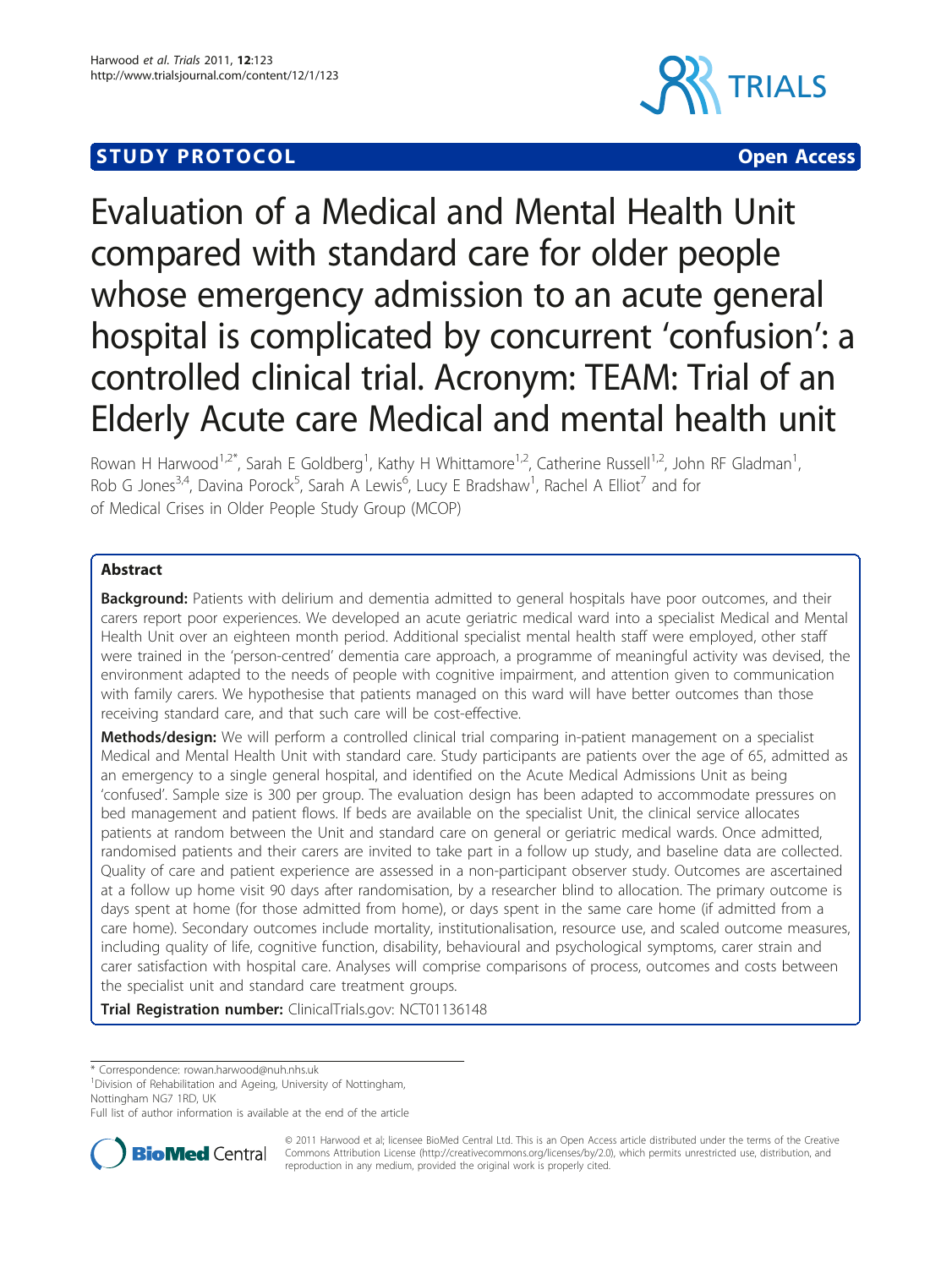# **STUDY PROTOCOL CONSUMING ACCESS**



# Evaluation of a Medical and Mental Health Unit compared with standard care for older people whose emergency admission to an acute general hospital is complicated by concurrent 'confusion': a controlled clinical trial. Acronym: TEAM: Trial of an Elderly Acute care Medical and mental health unit

Rowan H Harwood<sup>1,2\*</sup>, Sarah E Goldberg<sup>1</sup>, Kathy H Whittamore<sup>1,2</sup>, Catherine Russell<sup>1,2</sup>, John RF Gladman<sup>1</sup> , Rob G Jones<sup>3,4</sup>, Davina Porock<sup>5</sup>, Sarah A Lewis<sup>6</sup>, Lucy E Bradshaw<sup>1</sup>, Rachel A Elliot<sup>7</sup> and for of Medical Crises in Older People Study Group (MCOP)

# Abstract

Background: Patients with delirium and dementia admitted to general hospitals have poor outcomes, and their carers report poor experiences. We developed an acute geriatric medical ward into a specialist Medical and Mental Health Unit over an eighteen month period. Additional specialist mental health staff were employed, other staff were trained in the 'person-centred' dementia care approach, a programme of meaningful activity was devised, the environment adapted to the needs of people with cognitive impairment, and attention given to communication with family carers. We hypothesise that patients managed on this ward will have better outcomes than those receiving standard care, and that such care will be cost-effective.

Methods/design: We will perform a controlled clinical trial comparing in-patient management on a specialist Medical and Mental Health Unit with standard care. Study participants are patients over the age of 65, admitted as an emergency to a single general hospital, and identified on the Acute Medical Admissions Unit as being 'confused'. Sample size is 300 per group. The evaluation design has been adapted to accommodate pressures on bed management and patient flows. If beds are available on the specialist Unit, the clinical service allocates patients at random between the Unit and standard care on general or geriatric medical wards. Once admitted, randomised patients and their carers are invited to take part in a follow up study, and baseline data are collected. Quality of care and patient experience are assessed in a non-participant observer study. Outcomes are ascertained at a follow up home visit 90 days after randomisation, by a researcher blind to allocation. The primary outcome is days spent at home (for those admitted from home), or days spent in the same care home (if admitted from a care home). Secondary outcomes include mortality, institutionalisation, resource use, and scaled outcome measures, including quality of life, cognitive function, disability, behavioural and psychological symptoms, carer strain and carer satisfaction with hospital care. Analyses will comprise comparisons of process, outcomes and costs between the specialist unit and standard care treatment groups.

Trial Registration number: ClinicalTrials.gov: [NCT01136148](http://www.clinicaltrials.gov/ct2/show/NCT01136148)

\* Correspondence: [rowan.harwood@nuh.nhs.uk](mailto:rowan.harwood@nuh.nhs.uk)

<sup>1</sup> Division of Rehabilitation and Ageing, University of Nottingham, Nottingham NG7 1RD, UK

Full list of author information is available at the end of the article



© 2011 Harwood et al; licensee BioMed Central Ltd. This is an Open Access article distributed under the terms of the Creative Commons Attribution License [\(http://creativecommons.org/licenses/by/2.0](http://creativecommons.org/licenses/by/2.0)), which permits unrestricted use, distribution, and reproduction in any medium, provided the original work is properly cited.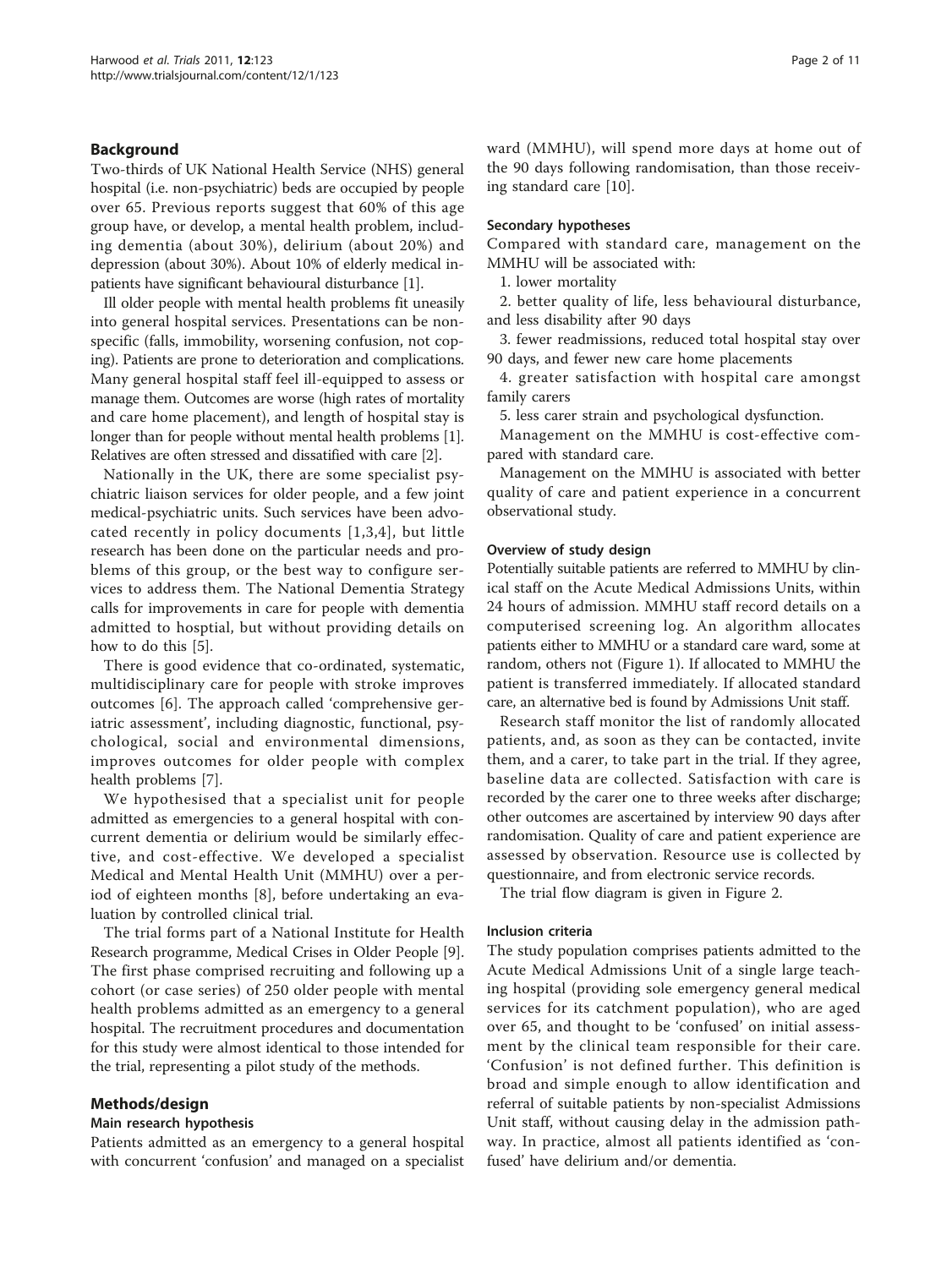# Background

Two-thirds of UK National Health Service (NHS) general hospital (i.e. non-psychiatric) beds are occupied by people over 65. Previous reports suggest that 60% of this age group have, or develop, a mental health problem, including dementia (about 30%), delirium (about 20%) and depression (about 30%). About 10% of elderly medical inpatients have significant behavioural disturbance [\[1](#page-9-0)].

Ill older people with mental health problems fit uneasily into general hospital services. Presentations can be nonspecific (falls, immobility, worsening confusion, not coping). Patients are prone to deterioration and complications. Many general hospital staff feel ill-equipped to assess or manage them. Outcomes are worse (high rates of mortality and care home placement), and length of hospital stay is longer than for people without mental health problems [[1](#page-9-0)]. Relatives are often stressed and dissatified with care [[2\]](#page-9-0).

Nationally in the UK, there are some specialist psychiatric liaison services for older people, and a few joint medical-psychiatric units. Such services have been advocated recently in policy documents [[1](#page-9-0),[3](#page-9-0),[4](#page-9-0)], but little research has been done on the particular needs and problems of this group, or the best way to configure services to address them. The National Dementia Strategy calls for improvements in care for people with dementia admitted to hosptial, but without providing details on how to do this [\[5](#page-9-0)].

There is good evidence that co-ordinated, systematic, multidisciplinary care for people with stroke improves outcomes [\[6](#page-9-0)]. The approach called 'comprehensive geriatric assessment', including diagnostic, functional, psychological, social and environmental dimensions, improves outcomes for older people with complex health problems [\[7](#page-9-0)].

We hypothesised that a specialist unit for people admitted as emergencies to a general hospital with concurrent dementia or delirium would be similarly effective, and cost-effective. We developed a specialist Medical and Mental Health Unit (MMHU) over a period of eighteen months [[8](#page-10-0)], before undertaking an evaluation by controlled clinical trial.

The trial forms part of a National Institute for Health Research programme, Medical Crises in Older People [\[9](#page-10-0)]. The first phase comprised recruiting and following up a cohort (or case series) of 250 older people with mental health problems admitted as an emergency to a general hospital. The recruitment procedures and documentation for this study were almost identical to those intended for the trial, representing a pilot study of the methods.

# Methods/design

# Main research hypothesis

Patients admitted as an emergency to a general hospital with concurrent 'confusion' and managed on a specialist ward (MMHU), will spend more days at home out of the 90 days following randomisation, than those receiving standard care [\[10\]](#page-10-0).

# Secondary hypotheses

Compared with standard care, management on the MMHU will be associated with:

1. lower mortality

2. better quality of life, less behavioural disturbance, and less disability after 90 days

3. fewer readmissions, reduced total hospital stay over 90 days, and fewer new care home placements

4. greater satisfaction with hospital care amongst family carers

5. less carer strain and psychological dysfunction.

Management on the MMHU is cost-effective compared with standard care.

Management on the MMHU is associated with better quality of care and patient experience in a concurrent observational study.

# Overview of study design

Potentially suitable patients are referred to MMHU by clinical staff on the Acute Medical Admissions Units, within 24 hours of admission. MMHU staff record details on a computerised screening log. An algorithm allocates patients either to MMHU or a standard care ward, some at random, others not (Figure [1\)](#page-2-0). If allocated to MMHU the patient is transferred immediately. If allocated standard care, an alternative bed is found by Admissions Unit staff.

Research staff monitor the list of randomly allocated patients, and, as soon as they can be contacted, invite them, and a carer, to take part in the trial. If they agree, baseline data are collected. Satisfaction with care is recorded by the carer one to three weeks after discharge; other outcomes are ascertained by interview 90 days after randomisation. Quality of care and patient experience are assessed by observation. Resource use is collected by questionnaire, and from electronic service records.

The trial flow diagram is given in Figure [2.](#page-3-0)

# Inclusion criteria

The study population comprises patients admitted to the Acute Medical Admissions Unit of a single large teaching hospital (providing sole emergency general medical services for its catchment population), who are aged over 65, and thought to be 'confused' on initial assessment by the clinical team responsible for their care. 'Confusion' is not defined further. This definition is broad and simple enough to allow identification and referral of suitable patients by non-specialist Admissions Unit staff, without causing delay in the admission pathway. In practice, almost all patients identified as 'confused' have delirium and/or dementia.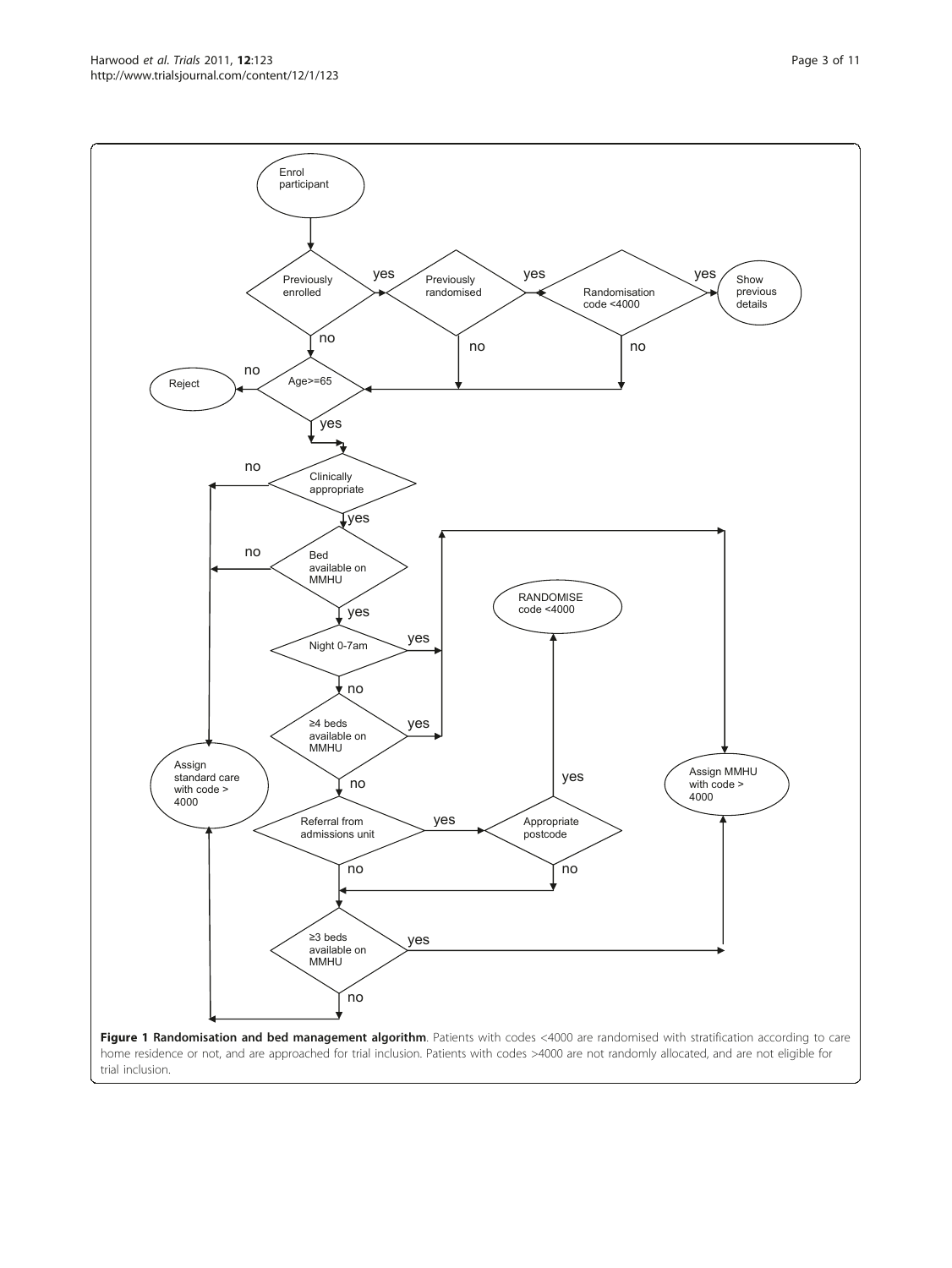<span id="page-2-0"></span>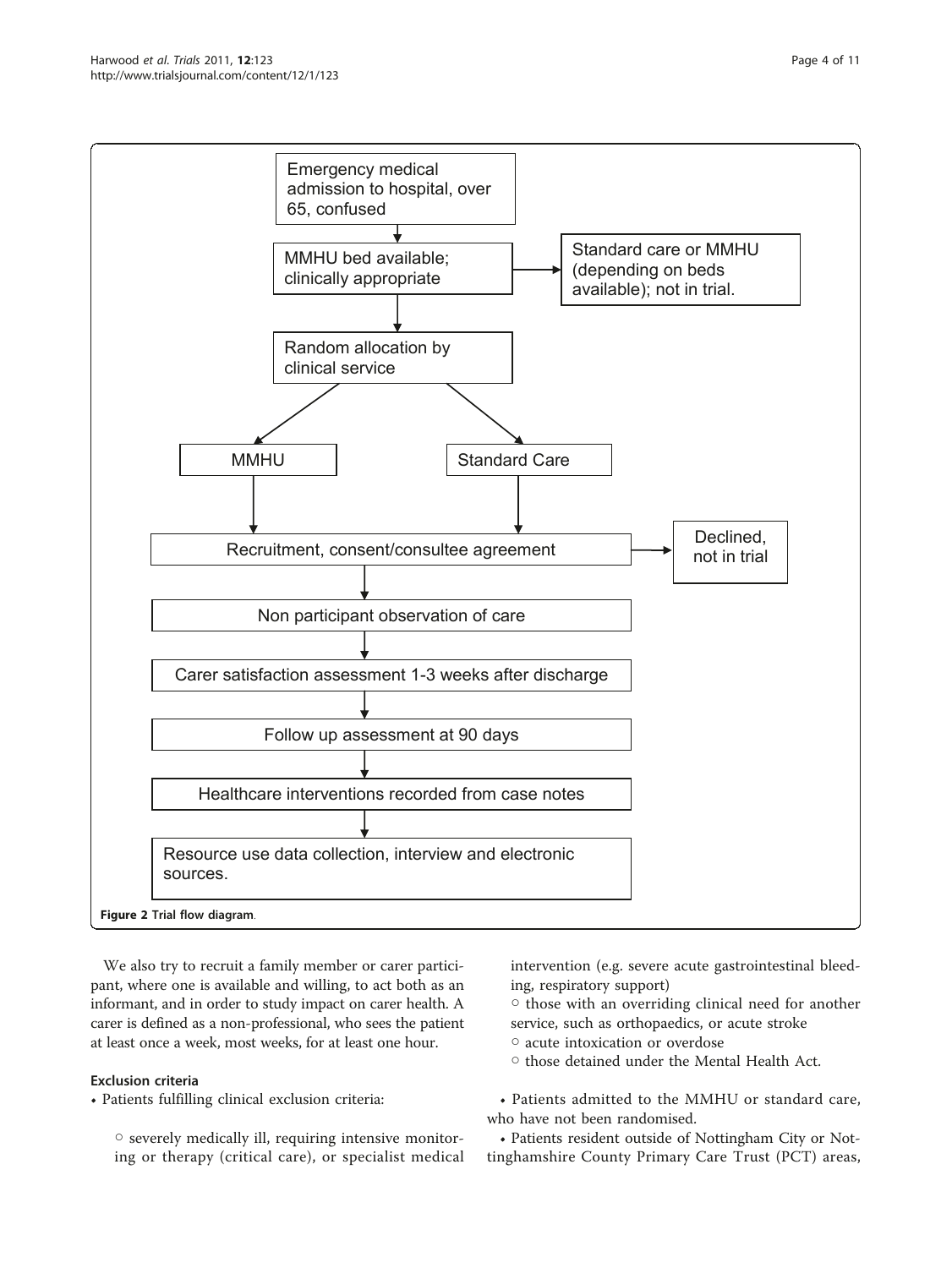<span id="page-3-0"></span>

We also try to recruit a family member or carer participant, where one is available and willing, to act both as an informant, and in order to study impact on carer health. A carer is defined as a non-professional, who sees the patient at least once a week, most weeks, for at least one hour.

# Exclusion criteria

• Patients fulfilling clinical exclusion criteria:

○ severely medically ill, requiring intensive monitoring or therapy (critical care), or specialist medical intervention (e.g. severe acute gastrointestinal bleeding, respiratory support)

- those with an overriding clinical need for another service, such as orthopaedics, or acute stroke
- acute intoxication or overdose
- those detained under the Mental Health Act.

• Patients admitted to the MMHU or standard care, who have not been randomised.

• Patients resident outside of Nottingham City or Nottinghamshire County Primary Care Trust (PCT) areas,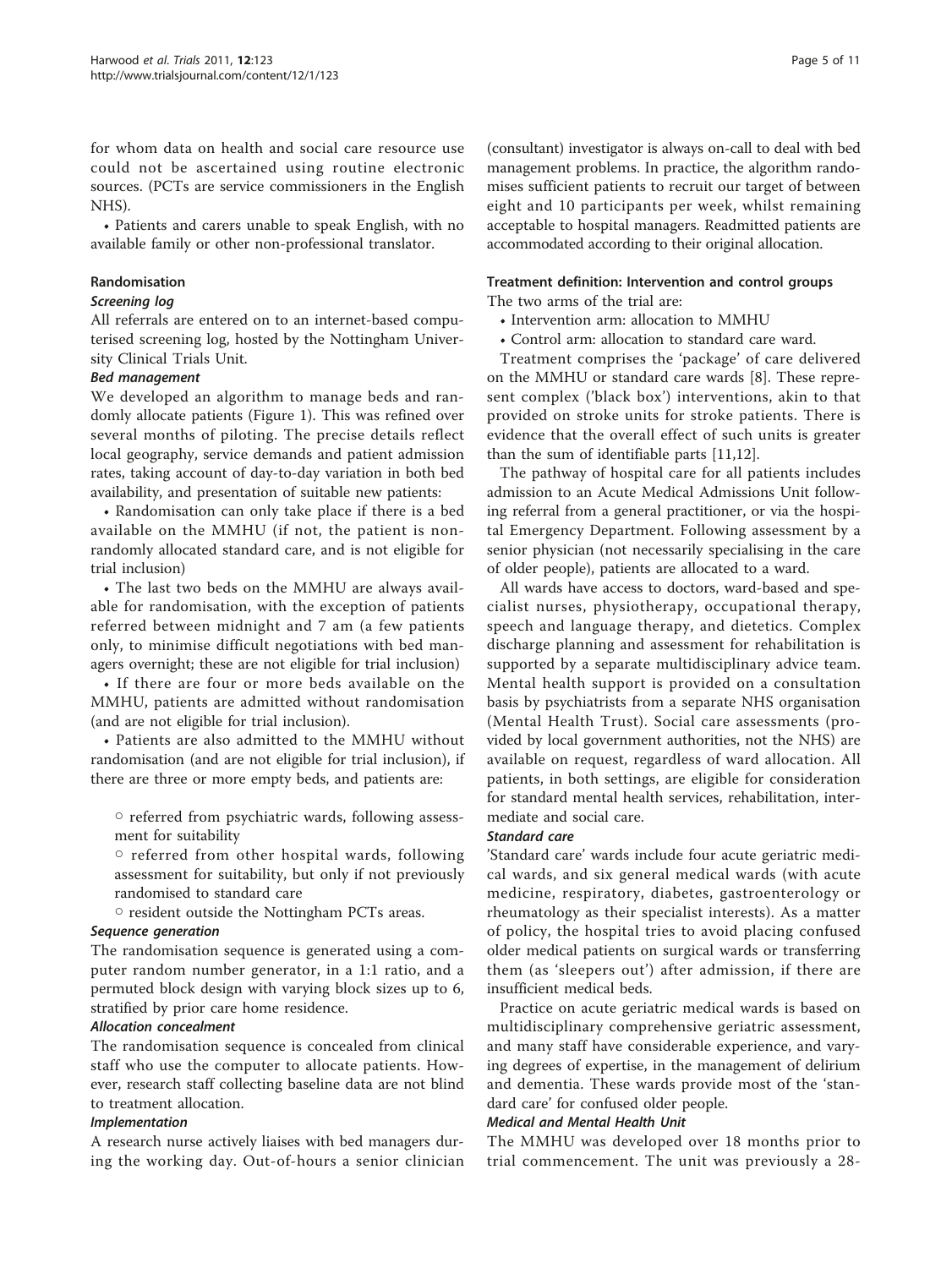for whom data on health and social care resource use could not be ascertained using routine electronic sources. (PCTs are service commissioners in the English NHS).

• Patients and carers unable to speak English, with no available family or other non-professional translator.

# Randomisation

# Screening log

All referrals are entered on to an internet-based computerised screening log, hosted by the Nottingham University Clinical Trials Unit.

# Bed management

We developed an algorithm to manage beds and randomly allocate patients (Figure [1](#page-2-0)). This was refined over several months of piloting. The precise details reflect local geography, service demands and patient admission rates, taking account of day-to-day variation in both bed availability, and presentation of suitable new patients:

• Randomisation can only take place if there is a bed available on the MMHU (if not, the patient is nonrandomly allocated standard care, and is not eligible for trial inclusion)

• The last two beds on the MMHU are always available for randomisation, with the exception of patients referred between midnight and 7 am (a few patients only, to minimise difficult negotiations with bed managers overnight; these are not eligible for trial inclusion)

• If there are four or more beds available on the MMHU, patients are admitted without randomisation (and are not eligible for trial inclusion).

• Patients are also admitted to the MMHU without randomisation (and are not eligible for trial inclusion), if there are three or more empty beds, and patients are:

○ referred from psychiatric wards, following assessment for suitability

○ referred from other hospital wards, following assessment for suitability, but only if not previously randomised to standard care

○ resident outside the Nottingham PCTs areas.

# Sequence generation

The randomisation sequence is generated using a computer random number generator, in a 1:1 ratio, and a permuted block design with varying block sizes up to 6, stratified by prior care home residence.

# Allocation concealment

The randomisation sequence is concealed from clinical staff who use the computer to allocate patients. However, research staff collecting baseline data are not blind to treatment allocation.

# Implementation

A research nurse actively liaises with bed managers during the working day. Out-of-hours a senior clinician

(consultant) investigator is always on-call to deal with bed management problems. In practice, the algorithm randomises sufficient patients to recruit our target of between eight and 10 participants per week, whilst remaining acceptable to hospital managers. Readmitted patients are accommodated according to their original allocation.

# Treatment definition: Intervention and control groups

The two arms of the trial are:

- Intervention arm: allocation to MMHU
- Control arm: allocation to standard care ward.

Treatment comprises the 'package' of care delivered on the MMHU or standard care wards [\[8](#page-10-0)]. These represent complex ('black box') interventions, akin to that provided on stroke units for stroke patients. There is evidence that the overall effect of such units is greater than the sum of identifiable parts [[11](#page-10-0),[12](#page-10-0)].

The pathway of hospital care for all patients includes admission to an Acute Medical Admissions Unit following referral from a general practitioner, or via the hospital Emergency Department. Following assessment by a senior physician (not necessarily specialising in the care of older people), patients are allocated to a ward.

All wards have access to doctors, ward-based and specialist nurses, physiotherapy, occupational therapy, speech and language therapy, and dietetics. Complex discharge planning and assessment for rehabilitation is supported by a separate multidisciplinary advice team. Mental health support is provided on a consultation basis by psychiatrists from a separate NHS organisation (Mental Health Trust). Social care assessments (provided by local government authorities, not the NHS) are available on request, regardless of ward allocation. All patients, in both settings, are eligible for consideration for standard mental health services, rehabilitation, intermediate and social care.

# Standard care

'Standard care' wards include four acute geriatric medical wards, and six general medical wards (with acute medicine, respiratory, diabetes, gastroenterology or rheumatology as their specialist interests). As a matter of policy, the hospital tries to avoid placing confused older medical patients on surgical wards or transferring them (as 'sleepers out') after admission, if there are insufficient medical beds.

Practice on acute geriatric medical wards is based on multidisciplinary comprehensive geriatric assessment, and many staff have considerable experience, and varying degrees of expertise, in the management of delirium and dementia. These wards provide most of the 'standard care' for confused older people.

# Medical and Mental Health Unit

The MMHU was developed over 18 months prior to trial commencement. The unit was previously a 28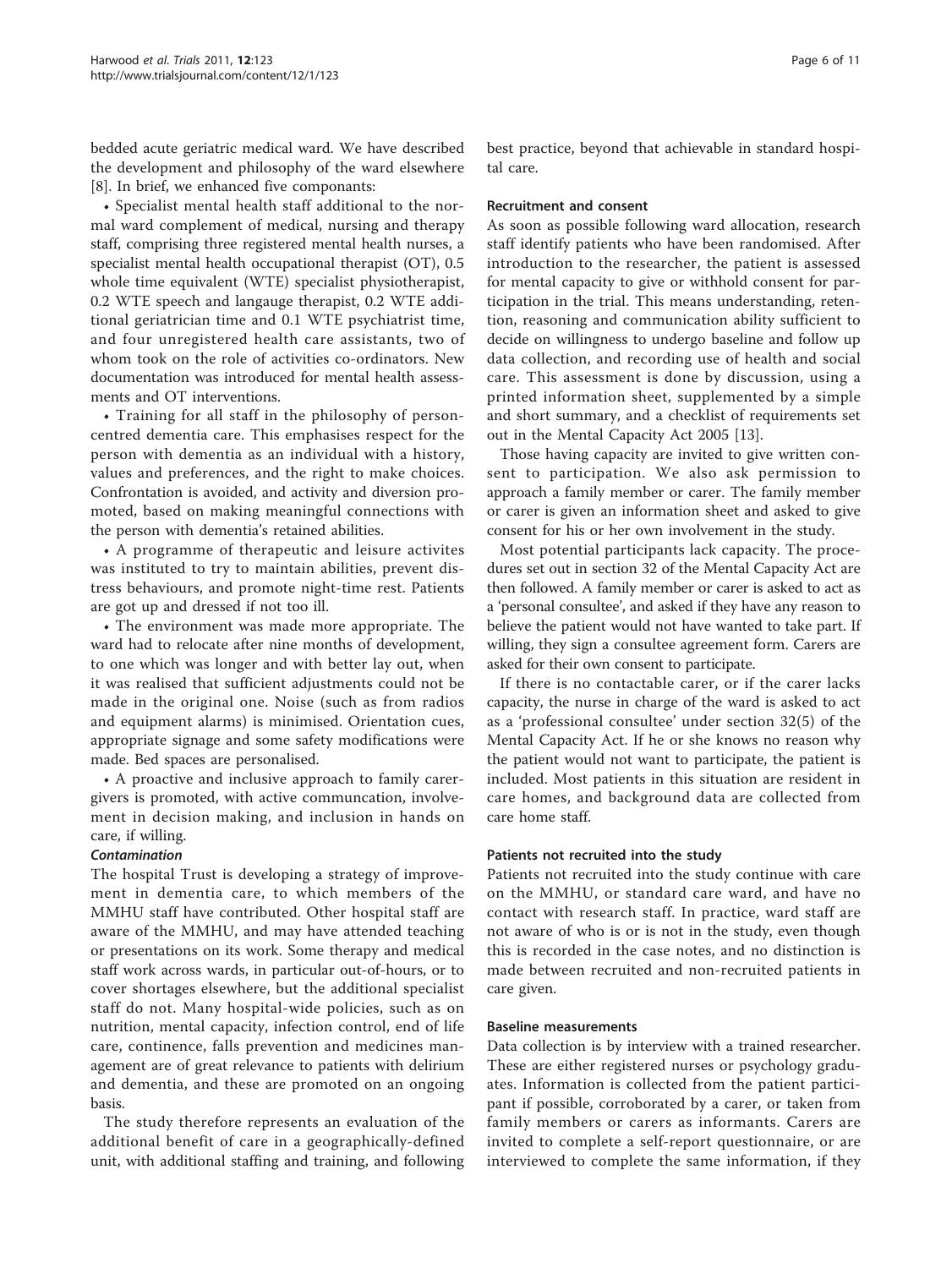bedded acute geriatric medical ward. We have described the development and philosophy of the ward elsewhere [[8\]](#page-10-0). In brief, we enhanced five componants:

• Specialist mental health staff additional to the normal ward complement of medical, nursing and therapy staff, comprising three registered mental health nurses, a specialist mental health occupational therapist (OT), 0.5 whole time equivalent (WTE) specialist physiotherapist, 0.2 WTE speech and langauge therapist, 0.2 WTE additional geriatrician time and 0.1 WTE psychiatrist time, and four unregistered health care assistants, two of whom took on the role of activities co-ordinators. New documentation was introduced for mental health assessments and OT interventions.

• Training for all staff in the philosophy of personcentred dementia care. This emphasises respect for the person with dementia as an individual with a history, values and preferences, and the right to make choices. Confrontation is avoided, and activity and diversion promoted, based on making meaningful connections with the person with dementia's retained abilities.

• A programme of therapeutic and leisure activites was instituted to try to maintain abilities, prevent distress behaviours, and promote night-time rest. Patients are got up and dressed if not too ill.

• The environment was made more appropriate. The ward had to relocate after nine months of development, to one which was longer and with better lay out, when it was realised that sufficient adjustments could not be made in the original one. Noise (such as from radios and equipment alarms) is minimised. Orientation cues, appropriate signage and some safety modifications were made. Bed spaces are personalised.

• A proactive and inclusive approach to family carergivers is promoted, with active communcation, involvement in decision making, and inclusion in hands on care, if willing.

# Contamination

The hospital Trust is developing a strategy of improvement in dementia care, to which members of the MMHU staff have contributed. Other hospital staff are aware of the MMHU, and may have attended teaching or presentations on its work. Some therapy and medical staff work across wards, in particular out-of-hours, or to cover shortages elsewhere, but the additional specialist staff do not. Many hospital-wide policies, such as on nutrition, mental capacity, infection control, end of life care, continence, falls prevention and medicines management are of great relevance to patients with delirium and dementia, and these are promoted on an ongoing basis.

The study therefore represents an evaluation of the additional benefit of care in a geographically-defined unit, with additional staffing and training, and following best practice, beyond that achievable in standard hospital care.

#### Recruitment and consent

As soon as possible following ward allocation, research staff identify patients who have been randomised. After introduction to the researcher, the patient is assessed for mental capacity to give or withhold consent for participation in the trial. This means understanding, retention, reasoning and communication ability sufficient to decide on willingness to undergo baseline and follow up data collection, and recording use of health and social care. This assessment is done by discussion, using a printed information sheet, supplemented by a simple and short summary, and a checklist of requirements set out in the Mental Capacity Act 2005 [[13\]](#page-10-0).

Those having capacity are invited to give written consent to participation. We also ask permission to approach a family member or carer. The family member or carer is given an information sheet and asked to give consent for his or her own involvement in the study.

Most potential participants lack capacity. The procedures set out in section 32 of the Mental Capacity Act are then followed. A family member or carer is asked to act as a 'personal consultee', and asked if they have any reason to believe the patient would not have wanted to take part. If willing, they sign a consultee agreement form. Carers are asked for their own consent to participate.

If there is no contactable carer, or if the carer lacks capacity, the nurse in charge of the ward is asked to act as a 'professional consultee' under section 32(5) of the Mental Capacity Act. If he or she knows no reason why the patient would not want to participate, the patient is included. Most patients in this situation are resident in care homes, and background data are collected from care home staff.

# Patients not recruited into the study

Patients not recruited into the study continue with care on the MMHU, or standard care ward, and have no contact with research staff. In practice, ward staff are not aware of who is or is not in the study, even though this is recorded in the case notes, and no distinction is made between recruited and non-recruited patients in care given.

# Baseline measurements

Data collection is by interview with a trained researcher. These are either registered nurses or psychology graduates. Information is collected from the patient participant if possible, corroborated by a carer, or taken from family members or carers as informants. Carers are invited to complete a self-report questionnaire, or are interviewed to complete the same information, if they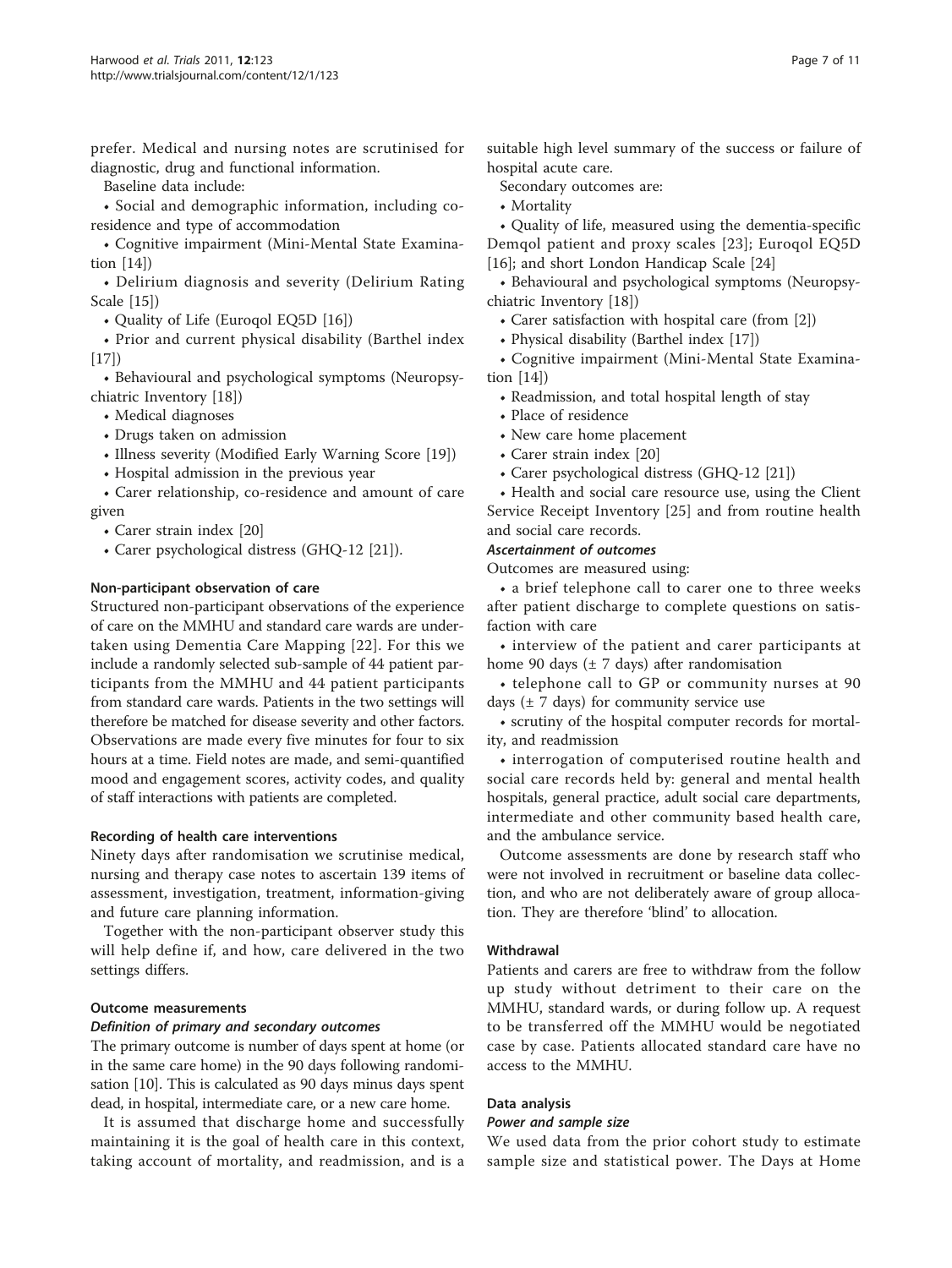prefer. Medical and nursing notes are scrutinised for diagnostic, drug and functional information.

Baseline data include:

• Social and demographic information, including coresidence and type of accommodation

• Cognitive impairment (Mini-Mental State Examination [\[14](#page-10-0)])

• Delirium diagnosis and severity (Delirium Rating Scale [[15](#page-10-0)])

• Quality of Life (Euroqol EQ5D [[16\]](#page-10-0))

• Prior and current physical disability (Barthel index [[17\]](#page-10-0))

• Behavioural and psychological symptoms (Neuropsychiatric Inventory [[18\]](#page-10-0))

- Medical diagnoses
- Drugs taken on admission
- Illness severity (Modified Early Warning Score [[19](#page-10-0)])
- Hospital admission in the previous year

• Carer relationship, co-residence and amount of care given

- Carer strain index [[20](#page-10-0)]
- Carer psychological distress (GHQ-12 [[21\]](#page-10-0)).

# Non-participant observation of care

Structured non-participant observations of the experience of care on the MMHU and standard care wards are undertaken using Dementia Care Mapping [[22](#page-10-0)]. For this we include a randomly selected sub-sample of 44 patient participants from the MMHU and 44 patient participants from standard care wards. Patients in the two settings will therefore be matched for disease severity and other factors. Observations are made every five minutes for four to six hours at a time. Field notes are made, and semi-quantified mood and engagement scores, activity codes, and quality of staff interactions with patients are completed.

#### Recording of health care interventions

Ninety days after randomisation we scrutinise medical, nursing and therapy case notes to ascertain 139 items of assessment, investigation, treatment, information-giving and future care planning information.

Together with the non-participant observer study this will help define if, and how, care delivered in the two settings differs.

#### Outcome measurements

#### Definition of primary and secondary outcomes

The primary outcome is number of days spent at home (or in the same care home) in the 90 days following randomisation [[10](#page-10-0)]. This is calculated as 90 days minus days spent dead, in hospital, intermediate care, or a new care home.

It is assumed that discharge home and successfully maintaining it is the goal of health care in this context, taking account of mortality, and readmission, and is a

suitable high level summary of the success or failure of hospital acute care.

Secondary outcomes are:

• Mortality

• Quality of life, measured using the dementia-specific Demqol patient and proxy scales [[23](#page-10-0)]; Euroqol EQ5D [[16\]](#page-10-0); and short London Handicap Scale [[24](#page-10-0)]

• Behavioural and psychological symptoms (Neuropsychiatric Inventory [[18\]](#page-10-0))

• Carer satisfaction with hospital care (from [[2\]](#page-9-0))

• Physical disability (Barthel index [\[17](#page-10-0)])

• Cognitive impairment (Mini-Mental State Examination [\[14](#page-10-0)])

- Readmission, and total hospital length of stay
- Place of residence
- New care home placement
- Carer strain index [[20](#page-10-0)]
- Carer psychological distress (GHQ-12 [[21\]](#page-10-0))

• Health and social care resource use, using the Client Service Receipt Inventory [[25\]](#page-10-0) and from routine health and social care records.

#### Ascertainment of outcomes

Outcomes are measured using:

• a brief telephone call to carer one to three weeks after patient discharge to complete questions on satisfaction with care

• interview of the patient and carer participants at home 90 days ( $\pm$  7 days) after randomisation

• telephone call to GP or community nurses at 90 days ( $\pm$  7 days) for community service use

• scrutiny of the hospital computer records for mortality, and readmission

• interrogation of computerised routine health and social care records held by: general and mental health hospitals, general practice, adult social care departments, intermediate and other community based health care, and the ambulance service.

Outcome assessments are done by research staff who were not involved in recruitment or baseline data collection, and who are not deliberately aware of group allocation. They are therefore 'blind' to allocation.

# Withdrawal

Patients and carers are free to withdraw from the follow up study without detriment to their care on the MMHU, standard wards, or during follow up. A request to be transferred off the MMHU would be negotiated case by case. Patients allocated standard care have no access to the MMHU.

# Data analysis

#### Power and sample size

We used data from the prior cohort study to estimate sample size and statistical power. The Days at Home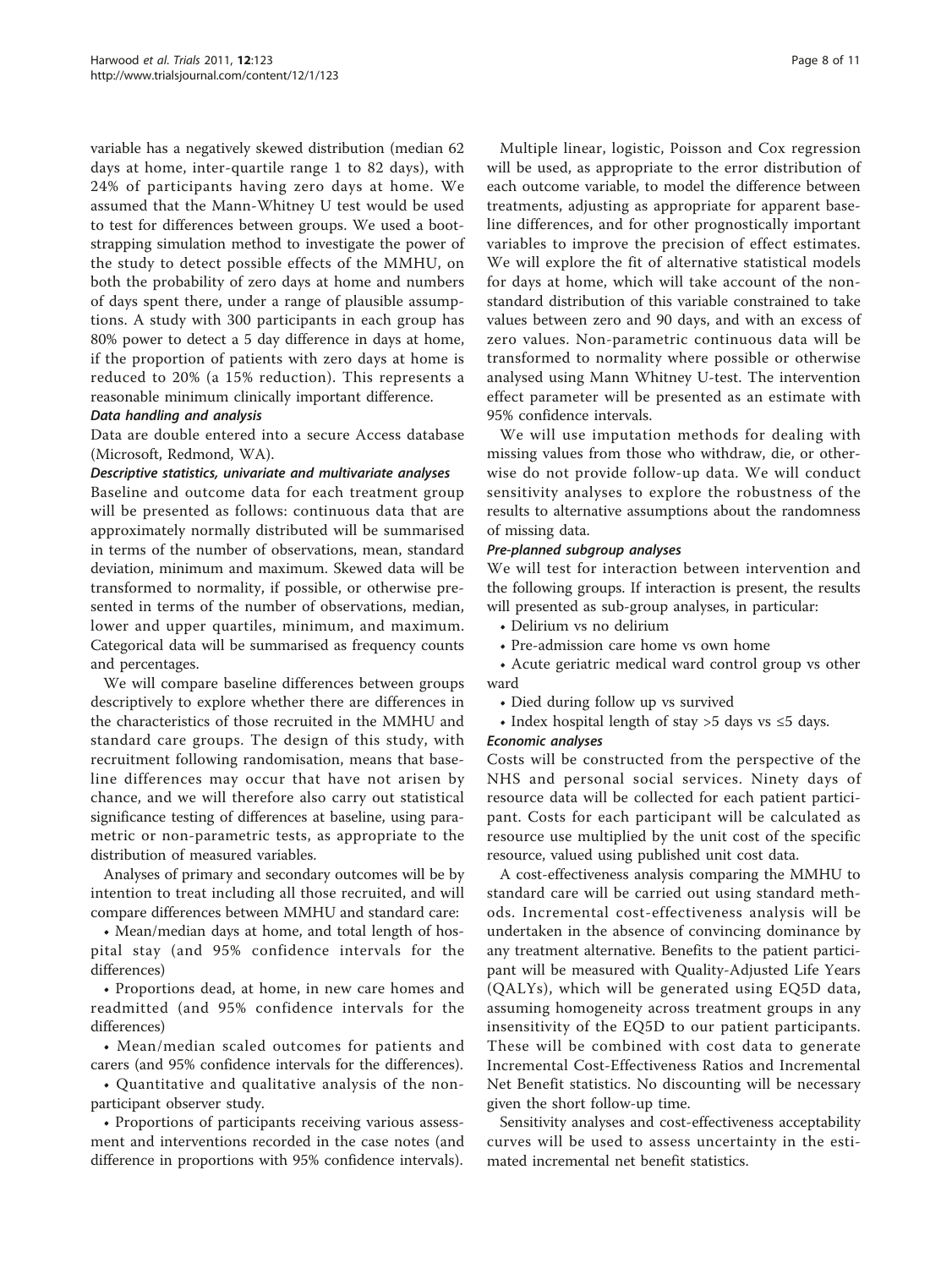variable has a negatively skewed distribution (median 62 days at home, inter-quartile range 1 to 82 days), with 24% of participants having zero days at home. We assumed that the Mann-Whitney U test would be used to test for differences between groups. We used a bootstrapping simulation method to investigate the power of the study to detect possible effects of the MMHU, on both the probability of zero days at home and numbers of days spent there, under a range of plausible assumptions. A study with 300 participants in each group has 80% power to detect a 5 day difference in days at home, if the proportion of patients with zero days at home is reduced to 20% (a 15% reduction). This represents a reasonable minimum clinically important difference.

#### Data handling and analysis

Data are double entered into a secure Access database (Microsoft, Redmond, WA).

#### Descriptive statistics, univariate and multivariate analyses

Baseline and outcome data for each treatment group will be presented as follows: continuous data that are approximately normally distributed will be summarised in terms of the number of observations, mean, standard deviation, minimum and maximum. Skewed data will be transformed to normality, if possible, or otherwise presented in terms of the number of observations, median, lower and upper quartiles, minimum, and maximum. Categorical data will be summarised as frequency counts and percentages.

We will compare baseline differences between groups descriptively to explore whether there are differences in the characteristics of those recruited in the MMHU and standard care groups. The design of this study, with recruitment following randomisation, means that baseline differences may occur that have not arisen by chance, and we will therefore also carry out statistical significance testing of differences at baseline, using parametric or non-parametric tests, as appropriate to the distribution of measured variables.

Analyses of primary and secondary outcomes will be by intention to treat including all those recruited, and will compare differences between MMHU and standard care:

• Mean/median days at home, and total length of hospital stay (and 95% confidence intervals for the differences)

• Proportions dead, at home, in new care homes and readmitted (and 95% confidence intervals for the differences)

• Mean/median scaled outcomes for patients and carers (and 95% confidence intervals for the differences).

• Quantitative and qualitative analysis of the nonparticipant observer study.

• Proportions of participants receiving various assessment and interventions recorded in the case notes (and difference in proportions with 95% confidence intervals).

Multiple linear, logistic, Poisson and Cox regression will be used, as appropriate to the error distribution of each outcome variable, to model the difference between treatments, adjusting as appropriate for apparent baseline differences, and for other prognostically important variables to improve the precision of effect estimates. We will explore the fit of alternative statistical models for days at home, which will take account of the nonstandard distribution of this variable constrained to take values between zero and 90 days, and with an excess of zero values. Non-parametric continuous data will be transformed to normality where possible or otherwise analysed using Mann Whitney U-test. The intervention effect parameter will be presented as an estimate with 95% confidence intervals.

We will use imputation methods for dealing with missing values from those who withdraw, die, or otherwise do not provide follow-up data. We will conduct sensitivity analyses to explore the robustness of the results to alternative assumptions about the randomness of missing data.

#### Pre-planned subgroup analyses

We will test for interaction between intervention and the following groups. If interaction is present, the results will presented as sub-group analyses, in particular:

• Delirium vs no delirium

• Pre-admission care home vs own home

• Acute geriatric medical ward control group vs other ward

• Died during follow up vs survived

• Index hospital length of stay  $>5$  days vs  $\leq 5$  days.

# Economic analyses

Costs will be constructed from the perspective of the NHS and personal social services. Ninety days of resource data will be collected for each patient participant. Costs for each participant will be calculated as resource use multiplied by the unit cost of the specific resource, valued using published unit cost data.

A cost-effectiveness analysis comparing the MMHU to standard care will be carried out using standard methods. Incremental cost-effectiveness analysis will be undertaken in the absence of convincing dominance by any treatment alternative. Benefits to the patient participant will be measured with Quality-Adjusted Life Years (QALYs), which will be generated using EQ5D data, assuming homogeneity across treatment groups in any insensitivity of the EQ5D to our patient participants. These will be combined with cost data to generate Incremental Cost-Effectiveness Ratios and Incremental Net Benefit statistics. No discounting will be necessary given the short follow-up time.

Sensitivity analyses and cost-effectiveness acceptability curves will be used to assess uncertainty in the estimated incremental net benefit statistics.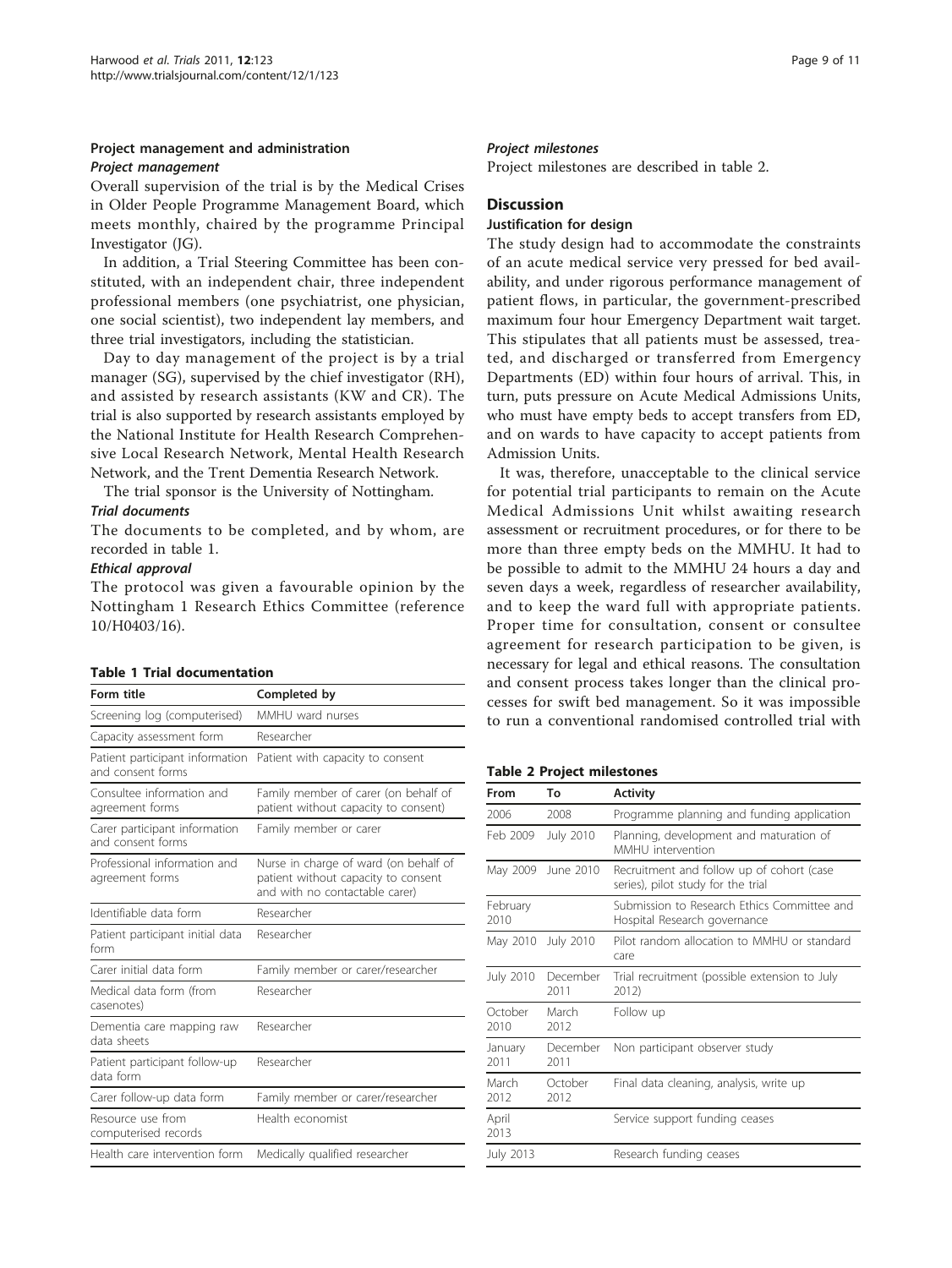# Project management and administration Project management

Overall supervision of the trial is by the Medical Crises in Older People Programme Management Board, which meets monthly, chaired by the programme Principal Investigator (JG).

In addition, a Trial Steering Committee has been constituted, with an independent chair, three independent professional members (one psychiatrist, one physician, one social scientist), two independent lay members, and three trial investigators, including the statistician.

Day to day management of the project is by a trial manager (SG), supervised by the chief investigator (RH), and assisted by research assistants (KW and CR). The trial is also supported by research assistants employed by the National Institute for Health Research Comprehensive Local Research Network, Mental Health Research Network, and the Trent Dementia Research Network.

The trial sponsor is the University of Nottingham.

# Trial documents

The documents to be completed, and by whom, are recorded in table 1.

# Ethical approval

The protocol was given a favourable opinion by the Nottingham 1 Research Ethics Committee (reference 10/H0403/16).

# Table 1 Trial documentation

| Form title                                           | Completed by                                                                                                   |
|------------------------------------------------------|----------------------------------------------------------------------------------------------------------------|
| Screening log (computerised)                         | MMHU ward nurses                                                                                               |
| Capacity assessment form                             | Researcher                                                                                                     |
| Patient participant information<br>and consent forms | Patient with capacity to consent                                                                               |
| Consultee information and<br>agreement forms         | Family member of carer (on behalf of<br>patient without capacity to consent)                                   |
| Carer participant information<br>and consent forms   | Family member or carer                                                                                         |
| Professional information and<br>agreement forms      | Nurse in charge of ward (on behalf of<br>patient without capacity to consent<br>and with no contactable carer) |
| Identifiable data form                               | Researcher                                                                                                     |
| Patient participant initial data<br>form             | Researcher                                                                                                     |
| Carer initial data form                              | Family member or carer/researcher                                                                              |
| Medical data form (from<br>casenotes)                | Researcher                                                                                                     |
| Dementia care mapping raw<br>data sheets             | Researcher                                                                                                     |
| Patient participant follow-up<br>data form           | Researcher                                                                                                     |
| Carer follow-up data form                            | Family member or carer/researcher                                                                              |
| Resource use from<br>computerised records            | Health economist                                                                                               |
| Health care intervention form                        | Medically qualified researcher                                                                                 |

# Project milestones

Project milestones are described in table 2.

# **Discussion**

# Justification for design

The study design had to accommodate the constraints of an acute medical service very pressed for bed availability, and under rigorous performance management of patient flows, in particular, the government-prescribed maximum four hour Emergency Department wait target. This stipulates that all patients must be assessed, treated, and discharged or transferred from Emergency Departments (ED) within four hours of arrival. This, in turn, puts pressure on Acute Medical Admissions Units, who must have empty beds to accept transfers from ED, and on wards to have capacity to accept patients from Admission Units.

It was, therefore, unacceptable to the clinical service for potential trial participants to remain on the Acute Medical Admissions Unit whilst awaiting research assessment or recruitment procedures, or for there to be more than three empty beds on the MMHU. It had to be possible to admit to the MMHU 24 hours a day and seven days a week, regardless of researcher availability, and to keep the ward full with appropriate patients. Proper time for consultation, consent or consultee agreement for research participation to be given, is necessary for legal and ethical reasons. The consultation and consent process takes longer than the clinical processes for swift bed management. So it was impossible to run a conventional randomised controlled trial with

# Table 2 Project milestones

| From             | To               | <b>Activity</b>                                                                 |
|------------------|------------------|---------------------------------------------------------------------------------|
| 2006             | 2008             | Programme planning and funding application                                      |
| Feb 2009         | <b>July 2010</b> | Planning, development and maturation of<br>MMHU intervention                    |
| May 2009         | June 2010        | Recruitment and follow up of cohort (case<br>series), pilot study for the trial |
| February<br>2010 |                  | Submission to Research Ethics Committee and<br>Hospital Research governance     |
| May 2010         | <b>July 2010</b> | Pilot random allocation to MMHU or standard<br>care                             |
| <b>July 2010</b> | December<br>2011 | Trial recruitment (possible extension to July<br>2012)                          |
| October<br>2010  | March<br>2012    | Follow up                                                                       |
| January<br>2011  | December<br>2011 | Non participant observer study                                                  |
| March<br>2012    | October<br>2012  | Final data cleaning, analysis, write up                                         |
| April<br>2013    |                  | Service support funding ceases                                                  |
| <b>July 2013</b> |                  | Research funding ceases                                                         |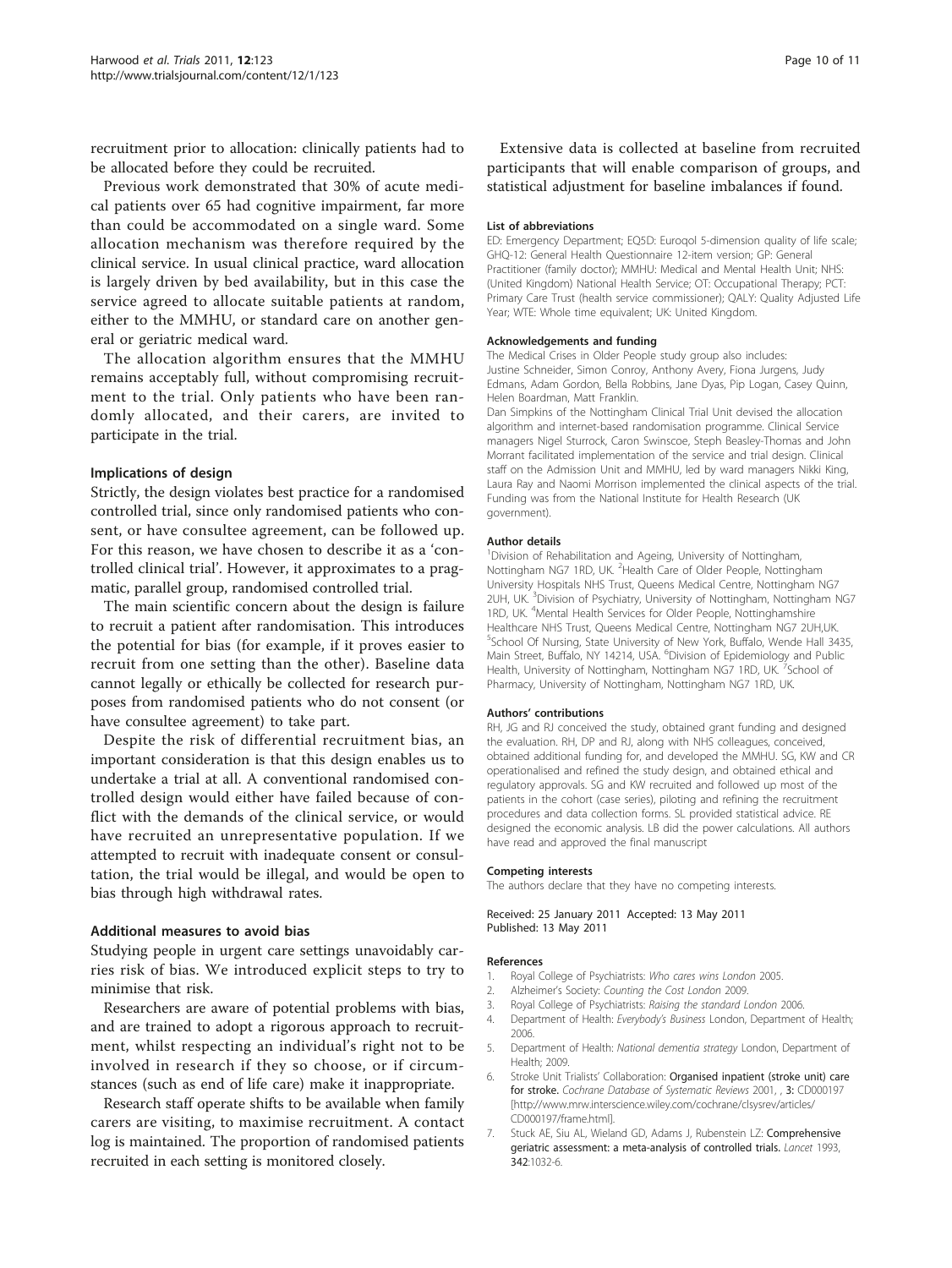<span id="page-9-0"></span>recruitment prior to allocation: clinically patients had to be allocated before they could be recruited.

Previous work demonstrated that 30% of acute medical patients over 65 had cognitive impairment, far more than could be accommodated on a single ward. Some allocation mechanism was therefore required by the clinical service. In usual clinical practice, ward allocation is largely driven by bed availability, but in this case the service agreed to allocate suitable patients at random, either to the MMHU, or standard care on another general or geriatric medical ward.

The allocation algorithm ensures that the MMHU remains acceptably full, without compromising recruitment to the trial. Only patients who have been randomly allocated, and their carers, are invited to participate in the trial.

#### Implications of design

Strictly, the design violates best practice for a randomised controlled trial, since only randomised patients who consent, or have consultee agreement, can be followed up. For this reason, we have chosen to describe it as a 'controlled clinical trial'. However, it approximates to a pragmatic, parallel group, randomised controlled trial.

The main scientific concern about the design is failure to recruit a patient after randomisation. This introduces the potential for bias (for example, if it proves easier to recruit from one setting than the other). Baseline data cannot legally or ethically be collected for research purposes from randomised patients who do not consent (or have consultee agreement) to take part.

Despite the risk of differential recruitment bias, an important consideration is that this design enables us to undertake a trial at all. A conventional randomised controlled design would either have failed because of conflict with the demands of the clinical service, or would have recruited an unrepresentative population. If we attempted to recruit with inadequate consent or consultation, the trial would be illegal, and would be open to bias through high withdrawal rates.

# Additional measures to avoid bias

Studying people in urgent care settings unavoidably carries risk of bias. We introduced explicit steps to try to minimise that risk.

Researchers are aware of potential problems with bias, and are trained to adopt a rigorous approach to recruitment, whilst respecting an individual's right not to be involved in research if they so choose, or if circumstances (such as end of life care) make it inappropriate.

Research staff operate shifts to be available when family carers are visiting, to maximise recruitment. A contact log is maintained. The proportion of randomised patients recruited in each setting is monitored closely.

Extensive data is collected at baseline from recruited participants that will enable comparison of groups, and statistical adjustment for baseline imbalances if found.

#### List of abbreviations

ED: Emergency Department; EQ5D: Euroqol 5-dimension quality of life scale; GHQ-12: General Health Questionnaire 12-item version; GP: General Practitioner (family doctor); MMHU: Medical and Mental Health Unit; NHS: (United Kingdom) National Health Service; OT: Occupational Therapy; PCT: Primary Care Trust (health service commissioner); QALY: Quality Adjusted Life Year; WTE: Whole time equivalent; UK: United Kingdom.

#### Acknowledgements and funding

The Medical Crises in Older People study group also includes: Justine Schneider, Simon Conroy, Anthony Avery, Fiona Jurgens, Judy Edmans, Adam Gordon, Bella Robbins, Jane Dyas, Pip Logan, Casey Quinn, Helen Boardman, Matt Franklin.

Dan Simpkins of the Nottingham Clinical Trial Unit devised the allocation algorithm and internet-based randomisation programme. Clinical Service managers Nigel Sturrock, Caron Swinscoe, Steph Beasley-Thomas and John Morrant facilitated implementation of the service and trial design. Clinical staff on the Admission Unit and MMHU, led by ward managers Nikki King, Laura Ray and Naomi Morrison implemented the clinical aspects of the trial. Funding was from the National Institute for Health Research (UK government).

#### Author details

<sup>1</sup> Division of Rehabilitation and Ageing, University of Nottingham Nottingham NG7 1RD, UK. <sup>2</sup> Health Care of Older People, Nottingham University Hospitals NHS Trust, Queens Medical Centre, Nottingham NG7 2UH, UK.<sup>3</sup> Division of Psychiatry, University of Nottingham, Nottingham NG7 1RD, UK. <sup>4</sup>Mental Health Services for Older People, Nottinghamshire Healthcare NHS Trust, Queens Medical Centre, Nottingham NG7 2UH,UK. 5 School Of Nursing, State University of New York, Buffalo, Wende Hall 3435, Main Street, Buffalo, NY 14214, USA. <sup>6</sup>Division of Epidemiology and Public Health, University of Nottingham, Nottingham NG7 1RD, UK. <sup>7</sup>School of Pharmacy, University of Nottingham, Nottingham NG7 1RD, UK.

#### Authors' contributions

RH, JG and RJ conceived the study, obtained grant funding and designed the evaluation. RH, DP and RJ, along with NHS colleagues, conceived, obtained additional funding for, and developed the MMHU. SG, KW and CR operationalised and refined the study design, and obtained ethical and regulatory approvals. SG and KW recruited and followed up most of the patients in the cohort (case series), piloting and refining the recruitment procedures and data collection forms. SL provided statistical advice. RE designed the economic analysis. LB did the power calculations. All authors have read and approved the final manuscript

#### Competing interests

The authors declare that they have no competing interests.

Received: 25 January 2011 Accepted: 13 May 2011 Published: 13 May 2011

#### References

- 1. Royal College of Psychiatrists: Who cares wins London 2005.
- Alzheimer's Society: Counting the Cost London 2009.
- 3. Royal College of Psychiatrists: Raising the standard London 2006.
- 4. Department of Health: Everybody's Business London, Department of Health; 2006.
- 5. Department of Health: National dementia strategy London, Department of Health; 2009.
- 6. Stroke Unit Trialists' Collaboration: Organised inpatient (stroke unit) care for stroke. Cochrane Database of Systematic Reviews 2001, , 3: CD000197 [[http://www.mrw.interscience.wiley.com/cochrane/clsysrev/articles/](http://www.mrw.interscience.wiley.com/cochrane/clsysrev/articles/CD000197/frame.html) [CD000197/frame.html\]](http://www.mrw.interscience.wiley.com/cochrane/clsysrev/articles/CD000197/frame.html).
- 7. Stuck AE, Siu AL, Wieland GD, Adams J, Rubenstein LZ: [Comprehensive](http://www.ncbi.nlm.nih.gov/pubmed/8105269?dopt=Abstract) [geriatric assessment: a meta-analysis of controlled trials.](http://www.ncbi.nlm.nih.gov/pubmed/8105269?dopt=Abstract) Lancet 1993, 342:1032-6.